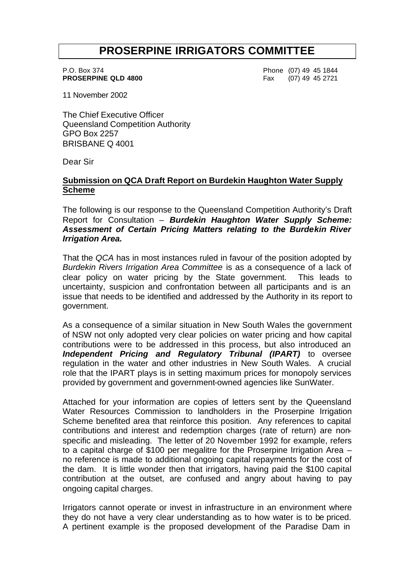# **PROSERPINE IRRIGATORS COMMITTEE**

P.O. Box 374 Phone (07) 49 45 1844 **PROSERPINE QLD 4800** Fax (07) 49 45 2721

11 November 2002

The Chief Executive Officer Queensland Competition Authority GPO Box 2257 BRISBANE Q 4001

Dear Sir

# **Submission on QCA Draft Report on Burdekin Haughton Water Supply Scheme**

The following is our response to the Queensland Competition Authority's Draft Report for Consultation – *Burdekin Haughton Water Supply Scheme: Assessment of Certain Pricing Matters relating to the Burdekin River Irrigation Area.*

That the *QCA* has in most instances ruled in favour of the position adopted by *Burdekin Rivers Irrigation Area Committee* is as a consequence of a lack of clear policy on water pricing by the State government. This leads to uncertainty, suspicion and confrontation between all participants and is an issue that needs to be identified and addressed by the Authority in its report to government.

As a consequence of a similar situation in New South Wales the government of NSW not only adopted very clear policies on water pricing and how capital contributions were to be addressed in this process, but also introduced an *Independent Pricing and Regulatory Tribunal (IPART)* to oversee regulation in the water and other industries in New South Wales. A crucial role that the IPART plays is in setting maximum prices for monopoly services provided by government and government-owned agencies like SunWater.

Attached for your information are copies of letters sent by the Queensland Water Resources Commission to landholders in the Proserpine Irrigation Scheme benefited area that reinforce this position. Any references to capital contributions and interest and redemption charges (rate of return) are nonspecific and misleading. The letter of 20 November 1992 for example, refers to a capital charge of \$100 per megalitre for the Proserpine Irrigation Area – no reference is made to additional ongoing capital repayments for the cost of the dam. It is little wonder then that irrigators, having paid the \$100 capital contribution at the outset, are confused and angry about having to pay ongoing capital charges.

Irrigators cannot operate or invest in infrastructure in an environment where they do not have a very clear understanding as to how water is to be priced. A pertinent example is the proposed development of the Paradise Dam in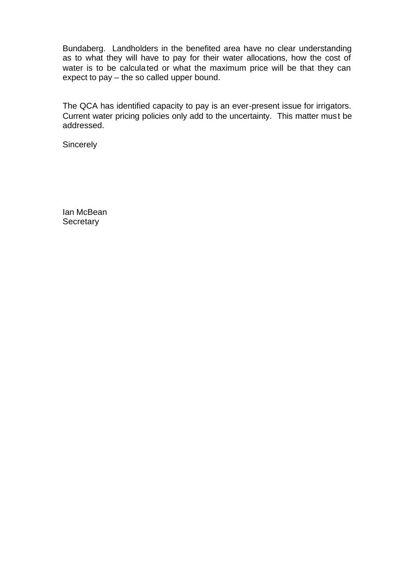Bundaberg. Landholders in the benefited area have no clear understanding as to what they will have to pay for their water allocations, how the cost of water is to be calculated or what the maximum price will be that they can expect to pay – the so called upper bound.

The QCA has identified capacity to pay is an ever-present issue for irrigators. Current water pricing policies only add to the uncertainty. This matter must be addressed.

**Sincerely** 

Ian McBean **Secretary**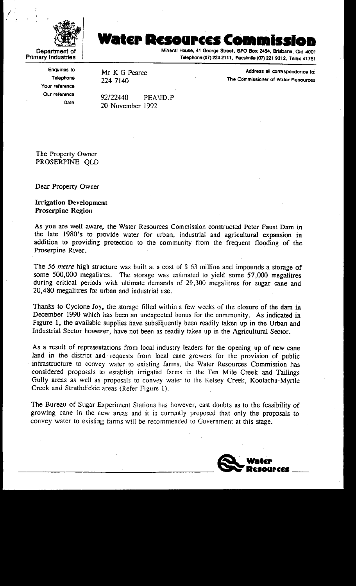

# Water Resources Commi

Mineral House, 41 George Street, GPO Box 2454, Brisbane, Qld 4001 Telephone (07) 224 2111, Facsimile (07) 221 931 2, Telex 41761

**Enquiries to** Telephone Your reference Our reference Date

Mr K G Pearce 224 7140

Address all correspondence to: The Commissioner of Water Resources

92/22440 PEAND.P 20 November 1992

The Property Owner PROSERPINE OLD

Dear Property Owner

**Irrigation Development Proserpine Region** 

As you are well aware, the Water Resources Commission constructed Peter Faust Dam in the late 1980's to provide water for urban, industrial and agricultural expansion in addition to providing protection to the community from the frequent flooding of the Proserpine River.

The 56 metre high structure was built at a cost of \$ 63 million and impounds a storage of some 500,000 megalitres. The storage was estimated to yield some 57,000 megalitres during critical periods with ultimate demands of 29,300 megalitres for sugar cane and 20,480 megalitres for urban and industrial use.

Thanks to Cyclone Joy, the storage filled within a few weeks of the closure of the dam in December 1990 which has been an unexpected bonus for the community. As indicated in Figure 1, the available supplies have subsequently been readily taken up in the Urban and Industrial Sector however, have not been as readily taken up in the Agricultural Sector.

As a result of representations from local industry leaders for the opening up of new cane land in the district and requests from local cane growers for the provision of public infrastructure to convey water to existing farms, the Water Resources Commission has considered proposals to establish irrigated farms in the Ten Mile Creek and Tailings Gully areas as well as proposals to convey water to the Kelsey Creek, Koolachu-Myrtle Creek and Strathdickie areas (Refer Figure 1).

The Bureau of Sugar Experiment Stations has however, cast doubts as to the feasibility of growing cane in the new areas and it is currently proposed that only the proposals to convey water to existing farms will be recommended to Government at this stage.

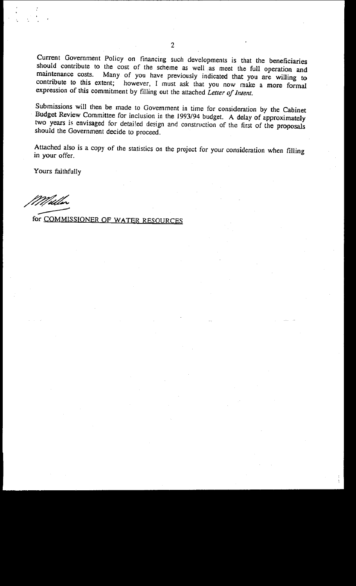Current Government Policy on financing such developments is that the beneficiaries should contribute to the cost of the scheme as well as meet the full operation and maintenance costs. Many of you have previously indicated that you are willing to contribute to this extent; however, I must ask that you now make a more formal expression of this commitment by filling out the attached Letter of Intent.

Submissions will then be made to Government in time for consideration by the Cabinet Budget Review Committee for inclusion in the 1993/94 budget. A delay of approximately two years is envisaged for detailed design and construction of the first of the proposals should the Government decide to proceed.

Attached also is a copy of the statistics on the project for your consideration when filling in your offer.

Yours faithfully

Mille

for COMMISSIONER OF WATER RESOURCES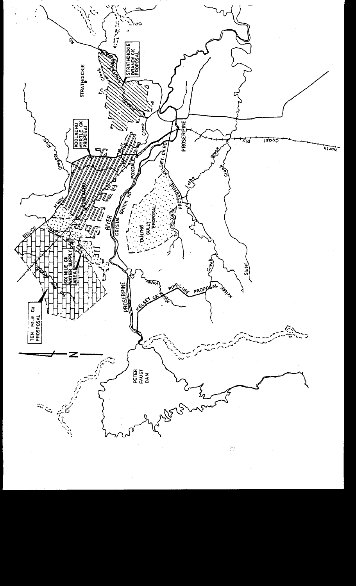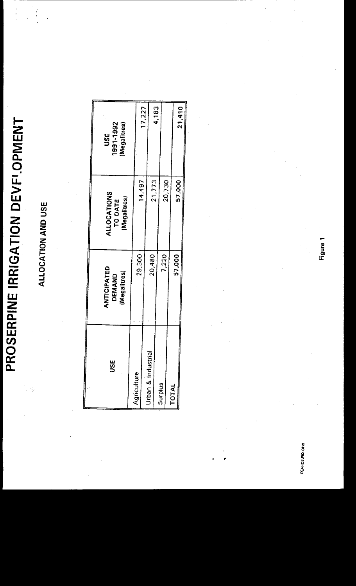# PROSERPINE IRRIGATION DEVFI.OPMENT

# ALLOCATION AND USE

 $\ddot{\phantom{a}}$ 

 $\begin{array}{c} \bullet \\ \bullet \\ \bullet \\ \bullet \\ \bullet \end{array}$ 

| <u>รี</u>          | <b>ANTICIPATED</b><br>(Megalitres)<br>DEMAND | ALLOCATIONS<br>TO DATE<br>Megalitres) | 1991-1992<br>(Megalitres)<br>us<br>S |
|--------------------|----------------------------------------------|---------------------------------------|--------------------------------------|
| Agriculture        |                                              |                                       |                                      |
|                    | 29,300                                       | 14,497                                |                                      |
|                    |                                              |                                       | 17,227                               |
| Urban & Industrial | 20,480                                       | 21,773                                |                                      |
| <b>Surplus</b>     |                                              |                                       | 4,183                                |
|                    | 7,220                                        | 20,730                                |                                      |
| TOTAL              |                                              |                                       |                                      |
|                    | 57,000                                       | 57,000                                |                                      |
|                    |                                              |                                       | 21,410                               |

PEARCEIPID.OH8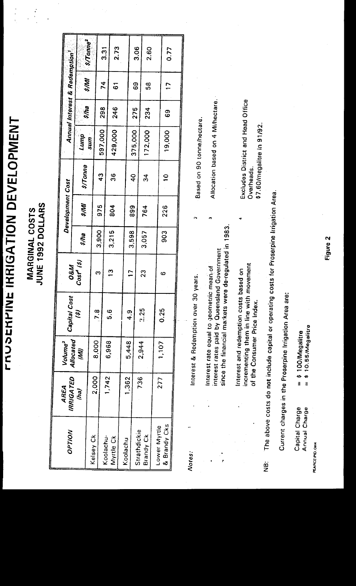**FRUSERPINE IRRIGATION DEVELOPMENT** 

**MARGINAL COSTS<br>JUNE 1992 DOLLARS** 

 $\mathbf{I}$ 

| OPTION       | <b>IRRIGATED</b><br>AREA | Volume <sup>3</sup>        | Capital Cost                                                                             | <b>O&amp;M</b> |       | Development Cost |                                   |         |             | Annual Interest & Redemption |                       |
|--------------|--------------------------|----------------------------|------------------------------------------------------------------------------------------|----------------|-------|------------------|-----------------------------------|---------|-------------|------------------------------|-----------------------|
|              | (ha)                     | Allocated<br>(VIV)         | Ŝ                                                                                        | $Cost^4$ (\$)  | 5/ha  | $\frac{1}{2}$    | <i><b>\$/Tonne</b></i>            | Lump    | <b>s/ha</b> | 5/MM                         |                       |
| Kelsey Ck    | 2,000                    | 8,000                      | 7.8                                                                                      | C              |       |                  |                                   | ums     |             |                              | $s$ /Tonne $^{\rm 2}$ |
| Koolachu-    |                          |                            |                                                                                          |                | 3,900 | 975              | $\frac{3}{4}$                     | 597,000 | 86<br>20    | $\frac{4}{3}$                | $\overline{3}$        |
| Myrtle Ck    | 1,742                    | 6,968                      | 6.6                                                                                      | $\mathbf{C}$   | 3,215 | 804              | 98                                | 429,000 | 246         | $\tilde{\mathbf{6}}$         | 2.73                  |
| Koolachu     |                          |                            |                                                                                          |                |       |                  |                                   |         |             |                              |                       |
|              | l,362                    | 5,448                      | თ<br>4                                                                                   | $\overline{1}$ | 3,598 | 999              | $\frac{0}{4}$                     |         |             |                              |                       |
| Strathdickie | 736                      |                            |                                                                                          |                |       |                  |                                   | 375,000 | 275         | 69                           | 3.06                  |
| Brandy Ck    |                          | 2,944                      | 25                                                                                       | 23             | 3,057 | 764              | 34                                | 172,000 | 234         | 89                           | 2.60                  |
| Lower Myrtle | 277                      |                            |                                                                                          |                |       |                  |                                   |         |             |                              |                       |
| & Brandy Cks |                          | 1,107                      | 0.25                                                                                     | ဖ              | 903   | 226              | $\mathbf{S}$                      | 19,000  | 69          | $\overline{C}$               | 0.77                  |
|              |                          |                            |                                                                                          |                |       |                  |                                   |         |             |                              |                       |
| Notes:       |                          | Interest & Redemption over |                                                                                          | 30 years.      |       |                  |                                   |         |             |                              |                       |
|              |                          |                            |                                                                                          |                |       |                  | Based on 90 tonne/hectare.        |         |             |                              |                       |
|              |                          |                            | interest rates paid by Queensland Government<br>Interest rate equal to geometric mean of |                |       |                  | Allocation based on 4 Mi/hectare. |         |             |                              |                       |
|              |                          |                            |                                                                                          |                |       |                  |                                   |         |             |                              |                       |

The above costs do not include capital or operating costs for Proserpine Irrigation Area. ja<br>2

incrementing them in line with movement<br>of the Consumer Price Index. Interest and redemption costs based on

Excludes District and Head Office

\$7.60/megalitre in 91/92.

Overheads.

since the financial markets were de-regulated in 1983.

Current charges in the Proserpine Irrigation Area are:

|                | = \$100/Megalitre<br>= \$10.55/Megalitr |
|----------------|-----------------------------------------|
| Capital Charge | Annual Charge                           |

PEARCEIPID.OH4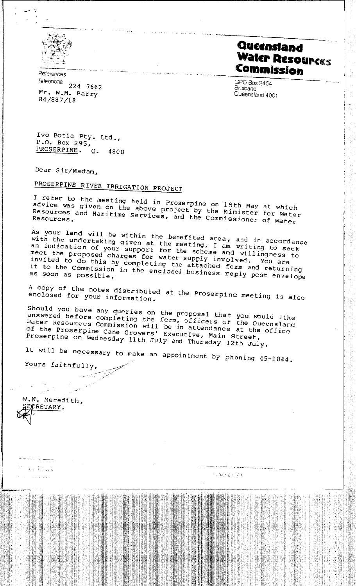

References Telephone 224 7662 Mr. W.M. Barry 84/887/18

Queensland **Water Resources** Commission

GPO Box 2454 **Brisbane** Queensland 4001

Ivo Botia Pty. Ltd., P.O. Box 295, PROSERPINE.  $Q_{\bullet}$ 4800

Dear Sir/Madam,

# PROSERPINE RIVER IRRIGATION PROJECT

I refer to the meeting held in Proserpine on 15th May at which advice was given on the above project by the Minister for Water Resources and Maritime Services, and the Commissioner of Water

As your land will be within the benefited area, and in accordance<br>with the undertaking given at the meeting, I am writing to seek an indication of your support for the scheme and willingness to meet the proposed charges for water supply involved. You are invited to do this by completing the attached form and returning it to the Commission in the enclosed business reply post envelope as soon as possible.

A copy of the notes distributed at the Proserpine meeting is also enclosed for your information.

Should you have any queries on the proposal that you would like answered before completing the form, officers of the Queensland Water kesources Commission will be in attendance at the office of the Proserpine Cane Growers' Executive, Main Street, Proserpine on Wednesday llth July and Thursday 12th July.

It will be necessary to make an appointment by phoning 45-1844.

Yours faithfully,

W.N. Meredith, FRETARY.

milia e Arciuse

المواصل والأدار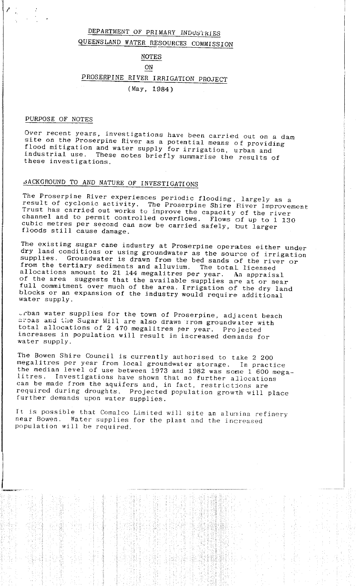# DEPARTMENT OF PRIMARY INDUSTRIES QUEENSLAND WATER RESOURCES COMMISSION

### **NOTES**

### **ON**

# PROSERPINE RIVER IRRIGATION PROJECT

 $(May, 1984)$ 

### PURPOSE OF NOTES

Over recent years, investigations have been carried out on a dam site on the Proserpine River as a potential means of providing flood mitigation and water supply for irrigation, urban and These notes briefly summarise the results of industrial use. these investigations.

# JACKGROUND TO AND NATURE OF INVESTIGATIONS

The Proserpine River experiences periodic flooding, largely as a result of cyclonic activity. The Proserpine Shire River Improvement Trust has carried out works to improve the capacity of the river channel and to permit controlled overflows. Flows of up to 1 130 cubic metres per second can now be carried safely, but larger floods still cause damage.

The existing sugar cane industry at Proserpine operates either under dry land conditions or using groundwater as the source of irrigation supplies. Groundwater is drawn from the bed sands of the river or from the tertiary sediments and alluvium. The total licensed allocations amount to 21 144 megalitres per year. An appraisal of the area suggests that the available supplies are at or near full commitment over much of the area. Irrigation of the dry land blocks or an expansion of the industry would require additional water supply.

crban water supplies for the town of Proserpine, adjacent beach areas and the Sugar Mill are also drawn rrom groundwater with total allocations of 2 470 megalitres per year. Projected increases in population will result in increased demands for water supply.

The Bowen Shire Council is currently authorised to take 2 200 megalitres per year from local groundwater storage. In practice the median level of use between 1973 and 1982 was some 1 600 megalitres. Investigations have shown that no further allocations can be made from the aquifers and, in fact, restrictions are required during droughts. Projected population growth will place further demands upon water supplies.

It is possible that Comalco Limited will site an alumina refinery near Bowen. Water supplies for the plant and the increased population will be required.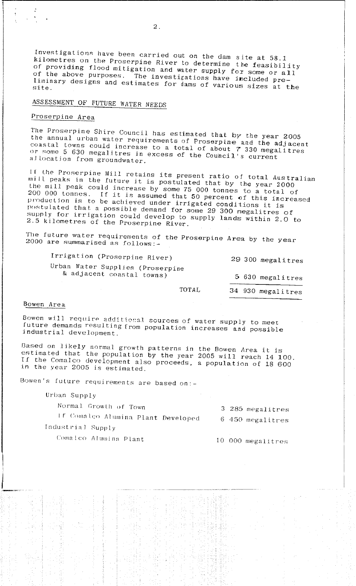Investigations have been carried out on the dam site at 58.1 kilometres on the Proserpine River to determine the feasibility of providing flood mitigation and water supply for some or all of the above purposes. The investigations have included preliminary designs and estimates for dams of various sizes at the site.

# ASSESSMENT OF FUTURE WATER NEEDS

## Proserpine Area

The Proserpine Shire Council has estimated that by the year 2005 the annual urban water requirements of Proserpine and the adjacent coastal towns could increase to a total of about 7 330 megalitres or some 5 630 megalitres in excess of the Council's current allocation from groundwater.

If the Proserpine Mill retains its present ratio of total Australian mill peaks in the future it is postulated that by the year 2000 the mill peak could increase by some 75 000 tonnes to a total of 200 000 tonnes. If it is assumed that 50 percent of this increased production is to be achieved under irrigated conditions it is postulated that a possible demand for some 29 300 megalitres of supply for irrigation could develop to supply lands within 2.0 to 2.5 kilometres of the Proserpine River.

The future water requirements of the Proserpine Area by the year 2000 are summarised as follows:-

Irrigation (Proserpine River) 29 300 megalitres Urban Water Supplies (Proserpine & adjacent coastal towns) 5 630 megalitres

TOTAL

34 930 megalitres

### Bowen Area

Bowen will require additional sources of water supply to meet future demands resulting from population increases and possible industrial development.

Based on likely normal growth patterns in the Bowen Area it is estimated that the population by the year 2005 will reach 14 100. If the Comalco development also proceeds, a population of 18 600 in the year 2005 is estimated.

Bowen's future requirements are based on:-

Urban Supply

Normal Growth of Town

3 285 megalitres If Comalco Alumina Plant Developed 6 450 megalitres Industrial Supply

Comalco Alumina Plant

10 000 megalitres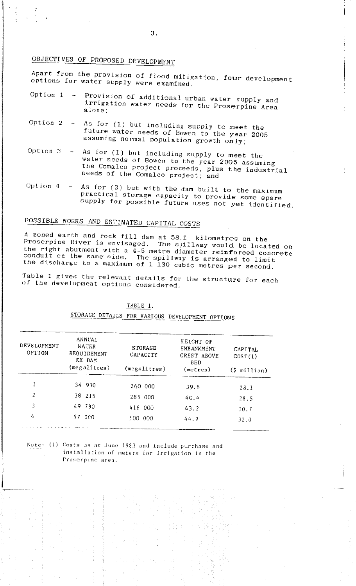# OBJECTIVES OF PROPOSED DEVELOPMENT

Apart from the provision of flood mitigation, four development options for water supply were examined.

- Option  $1 -$ Provision of additional urban water supply and irrigation water needs for the Proserpine Area alone:
- Option  $2 -$ As for (1) but including supply to meet the future water needs of Bowen to the year 2005 assuming normal population growth only;
- Option 3 As for (1) but including supply to meet the water needs of Bowen to the year 2005 assuming the Comalco project proceeds, plus the industrial needs of the Comalco project; and
- Option  $4 -$ As for (3) but with the dam built to the maximum practical storage capacity to provide some spare supply for possible future uses not yet identified.

# POSSIBLE WORKS AND ESTIMATED CAPITAL COSTS

A zoned earth and rock fill dam at 58.1 kilometres on the Proserpine River is envisaged. The spillway would be located on the right abutment with a  $\frac{3}{4}-5$  metre diameter reinforced concrete conduit on the same side. The spillway is arranged to limit the discharge to a maximum of 1 130 cubic metres per second.

Table 1 gives the relevant details for the structure for each of the development options considered.

| 11 D 1 |  |
|--------|--|
|        |  |

# STORAGE DETAILS FOR VARIOUS DEVELOPMENT OPTIONS

| DEVELOPMENT<br>OPTION | <b>ANNUAL</b><br>WATER<br>REQUIREMENT<br>EX DAM | <b>STORAGE</b><br>CAPACITY | <b>HEIGHT OF</b><br>EMB ANKMENT<br>CREST ABOVE<br><b>BED</b> | CAPITAL<br>COST(1) |  |
|-----------------------|-------------------------------------------------|----------------------------|--------------------------------------------------------------|--------------------|--|
|                       | (megalitres)                                    | (megalitres)               | (meters)                                                     | (S<br>million)     |  |
|                       | 34 930                                          | 260 000                    | 39.8                                                         | 28.1               |  |
| 2                     | 38 215                                          | 285 000                    | 40.4                                                         | 28.5               |  |
| 3                     | 49 780                                          | 416 000                    | 43.2                                                         | 30.7               |  |
| 4                     | 000<br>57                                       | 500 000                    | 44.9                                                         | 32.0               |  |

Note: (1) Costs as at June 1983 and include purchase and installation of meters for irrigation in the Proserpine area.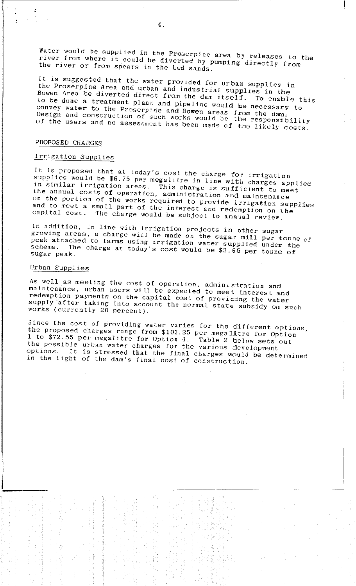Water would be supplied in the Proserpine area by releases to the river from where it could be diverted by pumping directly from the river or from spears in the bed sands.

It is suggested that the water provided for urban supplies in the Proserpine Area and urban and industrial supplies in the Bowen Area be diverted direct from the dam itself. To enable this to be done a treatment plant and pipeline would be necessary to convey water to the Proserpine and Bowen areas from the dam.<br>Design and construction of such works would be the responsibility of the users and no assessment has been made of the likely costs.

### PROPOSED CHARGES

# Irrigation Supplies

It is proposed that at today's cost the charge for irrigation supplies would be \$6.75 per megalitre in line with charges applied in similar irrigation areas. This charge is sufficient to meet<br>the annual costs of operation, administration and maintenance on the portion of the works required to provide irrigation supplies and to meet a small part of the interest and redemption on the capital cost. The charge would be subject to annual review.

In addition, in line with irrigation projects in other sugar growing areas, a charge will be made on the sugar mill per tonne of peak attached to farms using irrigation water supplied under the The charge at today's cost would be \$2.65 per tonne of scheme. sugar peak.

### Urban Supplies

As well as meeting the cost of operation, administration and maintenance, urban users will be expected to meet interest and redemption payments on the capital cost of providing the water supply after taking into account the normal state subsidy on such works (currently 20 percent).

Since the cost of providing water varies for the different options, the proposed charges range from \$103.25 per megalitre for Option 1 to \$72.55 per megalitre for Option 4. Table 2 below sets out the possible urban water charges for the various development options. It is stressed that the final charges would be determined in the light of the dam's final cost of construction.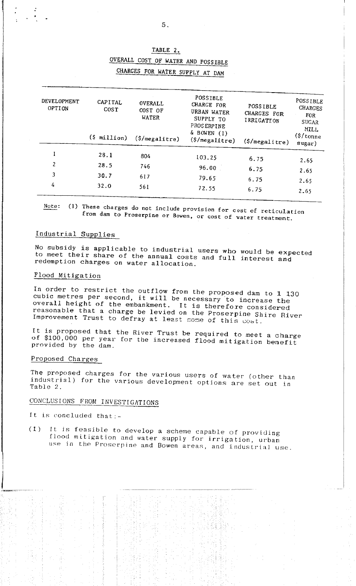| DEVELOPMENT<br>OPTION | CAPITAL<br>COST         | <b>OVERALL</b><br>COST OF<br>WATER | POSSIBLE<br><b>CHARGE FOR</b><br>URBAN WATER<br>SUPPLY TO<br>PROSERPINE | <b>POSSIBLE</b><br>CHARGES FOR<br>IRRIGATION | POSSIBLE<br><b>CHARGES</b><br><b>FOR</b><br>SUGAR<br><b>MILL</b> |
|-----------------------|-------------------------|------------------------------------|-------------------------------------------------------------------------|----------------------------------------------|------------------------------------------------------------------|
|                       | $(\frac{1}{2}$ million) | $(\frac{5}{\text{megalitre}})$     | $\Delta$ BOWEN (1)<br>$(\frac{5}{me}qalitre)$                           | $(\frac{2}{\pi})$                            | $(\frac{2}{3} / \text{tonne})$<br>sugar)                         |
|                       | 28.1                    | 804                                | 103.25                                                                  | 6.75                                         |                                                                  |
| 2                     | 28.5                    | 746                                | 96.00                                                                   | 6.75                                         | 2.65                                                             |
| 3                     | 30.7                    | 617                                | 79.65                                                                   | 6.75                                         | 2.65                                                             |
| 4                     | 32.0                    | 561                                | 72.55                                                                   | 6.75                                         | 2.65<br>2.65                                                     |

### TABLE 2.

OVERALL COST OF WATER AND POSSIBLE CHARGES FOR WATER SUPPLY AT DAM

(1) These charges do not include provision for cost of reticulation Note: from dam to Proserpine or Bowen, or cost of water treatment.

# Industrial Supplies

No subsidy is applicable to industrial users who would be expected to meet their share of the annual costs and full interest and redemption charges on water allocation.

### Flood Mitigation

In order to restrict the outflow from the proposed dam to 1 130 cubic metres per second, it will be necessary to increase the overall height of the embankment. It is therefore considered reasonable that a charge be levied on the Proserpine Shire River Improvement Trust to defray at least some of this cost.

It is proposed that the River Trust be required to meet a charge of \$100,000 per year for the increased flood mitigation benefit provided by the dam.

# Proposed Charges

The proposed charges for the various users of water (other than industrial) for the various development options are set out in Table 2.

# CONCLUSIONS FROM INVESTIGATIONS

It is concluded that:-

It is feasible to develop a scheme capable of providing  $(1)$ flood mitigation and water supply for irrigation, urban use in the Proserpine and Bowen areas, and industrial use.